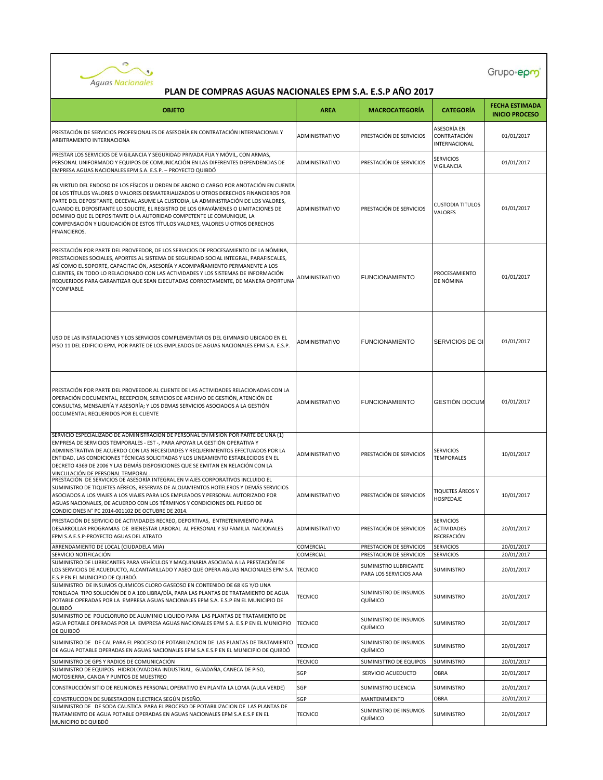

| <b>OBJETO</b>                                                                                                                                                                                                                                                                                                                                                                                                                                                                                                                      | <b>AREA</b>           | <b>MACROCATEGORÍA</b>                           | <b>CATEGORÍA</b>                                            | <b>FECHA ESTIMADA</b><br><b>INICIO PROCESO</b> |
|------------------------------------------------------------------------------------------------------------------------------------------------------------------------------------------------------------------------------------------------------------------------------------------------------------------------------------------------------------------------------------------------------------------------------------------------------------------------------------------------------------------------------------|-----------------------|-------------------------------------------------|-------------------------------------------------------------|------------------------------------------------|
| PRESTACIÓN DE SERVICIOS PROFESIONALES DE ASESORÍA EN CONTRATACIÓN INTERNACIONAL Y<br>ARBITRAMENTO INTERNACIONA                                                                                                                                                                                                                                                                                                                                                                                                                     | ADMINISTRATIVO        | PRESTACIÓN DE SERVICIOS                         | ASESORÍA EN<br>CONTRATACIÓN<br>INTERNACIONAL                | 01/01/2017                                     |
| PRESTAR LOS SERVICIOS DE VIGILANCIA Y SEGURIDAD PRIVADA FIJA Y MÓVIL, CON ARMAS,<br>PERSONAL UNIFORMADO Y EQUIPOS DE COMUNICACIÓN EN LAS DIFERENTES DEPENDENCIAS DE<br>EMPRESA AGUAS NACIONALES EPM S.A. E.S.P. - PROYECTO QUIBDÓ                                                                                                                                                                                                                                                                                                  | ADMINISTRATIVO        | PRESTACIÓN DE SERVICIOS                         | <b>SERVICIOS</b><br>VIGILANCIA                              | 01/01/2017                                     |
| EN VIRTUD DEL ENDOSO DE LOS FÍSICOS U ORDEN DE ABONO O CARGO POR ANOTACIÓN EN CUENTA<br>DE LOS TÍTULOS VALORES O VALORES DESMATERIALIZADOS U OTROS DERECHOS FINANCIEROS POR<br>PARTE DEL DEPOSITANTE, DECEVAL ASUME LA CUSTODIA, LA ADMINISTRACIÓN DE LOS VALORES,<br>CUANDO EL DEPOSITANTE LO SOLICITE, EL REGISTRO DE LOS GRAVÁMENES O LIMITACIONES DE<br>DOMINIO QUE EL DEPOSITANTE O LA AUTORIDAD COMPETENTE LE COMUNIQUE, LA<br>COMPENSACIÓN Y LIQUIDACIÓN DE ESTOS TÍTULOS VALORES, VALORES U OTROS DERECHOS<br>FINANCIEROS. | ADMINISTRATIVO        | PRESTACIÓN DE SERVICIOS                         | <b>CUSTODIA TITULOS</b><br>VALORES                          | 01/01/2017                                     |
| PRESTACIÓN POR PARTE DEL PROVEEDOR, DE LOS SERVICIOS DE PROCESAMIENTO DE LA NÓMINA,<br>PRESTACIONES SOCIALES, APORTES AL SISTEMA DE SEGURIDAD SOCIAL INTEGRAL, PARAFISCALES,<br>ASÍ COMO EL SOPORTE, CAPACITACIÓN, ASESORÍA Y ACOMPAÑAMIENTO PERMANENTE A LOS<br>CLIENTES, EN TODO LO RELACIONADO CON LAS ACTIVIDADES Y LOS SISTEMAS DE INFORMACIÓN<br>REQUERIDOS PARA GARANTIZAR QUE SEAN EJECUTADAS CORRECTAMENTE, DE MANERA OPORTUNA<br>Y CONFIABLE.                                                                            | ADMINISTRATIVO        | <b>FUNCIONAMIENTO</b>                           | PROCESAMIENTO<br>DE NÓMINA                                  | 01/01/2017                                     |
| USO DE LAS INSTALACIONES Y LOS SERVICIOS COMPLEMENTARIOS DEL GIMNASIO UBICADO EN EL<br>PISO 11 DEL EDIFICIO EPM, POR PARTE DE LOS EMPLEADOS DE AGUAS NACIONALES EPM S.A. E.S.P.                                                                                                                                                                                                                                                                                                                                                    | ADMINISTRATIVO        | <b>FUNCIONAMIENTO</b>                           | SERVICIOS DE GI                                             | 01/01/2017                                     |
| PRESTACIÓN POR PARTE DEL PROVEEDOR AL CLIENTE DE LAS ACTIVIDADES RELACIONADAS CON LA<br>OPERACIÓN DOCUMENTAL, RECEPCION, SERVICIOS DE ARCHIVO DE GESTIÓN, ATENCIÓN DE<br>CONSULTAS, MENSAJERÍA Y ASESORÍA; Y LOS DEMAS SERVICIOS ASOCIADOS A LA GESTIÓN<br>DOCUMENTAL REQUERIDOS POR EL CLIENTE                                                                                                                                                                                                                                    | ADMINISTRATIVO        | <b>FUNCIONAMIENTO</b>                           | <b>GESTIÓN DOCUM</b>                                        | 01/01/2017                                     |
| SERVICIO ESPECIALIZADO DE ADMINISTRACION DE PERSONAL EN MISION POR PARTE DE UNA (1)<br>EMPRESA DE SERVICIOS TEMPORALES - EST -, PARA APOYAR LA GESTIÓN OPERATIVA Y<br>ADMINISTRATIVA DE ACUERDO CON LAS NECESIDADES Y REQUERIMIENTOS EFECTUADOS POR LA<br>ENTIDAD, LAS CONDICIONES TÉCNICAS SOLICITADAS Y LOS LINEAMIENTO ESTABLECIDOS EN EL<br>DECRETO 4369 DE 2006 Y LAS DEMÁS DISPOSICIONES QUE SE EMITAN EN RELACIÓN CON LA<br>VINCULACIÓN DE PERSONAL TEMPORAL                                                                | ADMINISTRATIVO        | PRESTACIÓN DE SERVICIOS                         | <b>SERVICIOS</b><br><b>TEMPORALES</b>                       | 10/01/2017                                     |
| PRESTACIÓN DE SERVICIOS DE ASESORÍA INTEGRAL EN VIAJES CORPORATIVOS INCLUIDO EL<br>SUMINISTRO DE TIQUETES AÉREOS, RESERVAS DE ALOJAMIENTOS HOTELEROS Y DEMÁS SERVICIOS<br>ASOCIADOS A LOS VIAJES A LOS VIAJES PARA LOS EMPLEADOS Y PERSONAL AUTORIZADO POR<br>AGUAS NACIONALES, DE ACUERDO CON LOS TÉRMINOS Y CONDICIONES DEL PLIEGO DE<br>CONDICIONES N° PC 2014-001102 DE OCTUBRE DE 2014.                                                                                                                                       | ADMINISTRATIVO        | PRESTACIÓN DE SERVICIOS                         | <b>TIQUETES ÁREOS Y</b><br>HOSPEDAJE                        | 10/01/2017                                     |
| PRESTACIÓN DE SERVICIO DE ACTIVIDADES RECREO, DEPORTIVAS, ENTRETENIMIENTO PARA<br>DESARROLLAR PROGRAMAS DE BIENESTAR LABORAL AL PERSONAL Y SU FAMILIA NACIONALES<br>EPM S.A E.S.P-PROYECTO AGUAS DEL ATRATO                                                                                                                                                                                                                                                                                                                        | <b>ADMINISTRATIVO</b> | PRESTACIÓN DE SERVICIOS                         | <b>SERVICIOS</b><br><b>ACTIVIDADES</b><br><b>RECREACIÓN</b> | 20/01/2017                                     |
| ARRENDAMIENTO DE LOCAL (CIUDADELA MIA)                                                                                                                                                                                                                                                                                                                                                                                                                                                                                             | COMERCIAL             | PRESTACION DE SERVICIOS                         | <b>SERVICIOS</b>                                            | 20/01/2017                                     |
| SERVICIO NOTIFICACIÓN                                                                                                                                                                                                                                                                                                                                                                                                                                                                                                              | COMERCIAL             | PRESTACION DE SERVICIOS                         | <b>SERVICIOS</b>                                            | 20/01/2017                                     |
| SUMINISTRO DE LUBRICANTES PARA VEHÍCULOS Y MAQUINARIA ASOCIADA A LA PRESTACIÓN DE<br>LOS SERVICIOS DE ACUEDUCTO, ALCANTARILLADO Y ASEO QUE OPERA AGUAS NACIONALES EPM S.A<br>E.S.P EN EL MUNICIPIO DE QUIBDÓ.                                                                                                                                                                                                                                                                                                                      | <b>TECNICO</b>        | SUMINISTRO LUBRICANTE<br>PARA LOS SERVICIOS AAA | SUMINISTRO                                                  | 20/01/2017                                     |
| SUMINISTRO DE INSUMOS QUIMICOS CLORO GASEOSO EN CONTENIDO DE 68 KG Y/O UNA<br>TONELADA TIPO SOLUCIÓN DE 0 A 100 LIBRA/DÍA, PARA LAS PLANTAS DE TRATAMIENTO DE AGUA<br>POTABLE OPERADAS POR LA EMPRESA AGUAS NACIONALES EPM S.A. E.S.P EN EL MUNICIPIO DE<br>QUIBDÓ                                                                                                                                                                                                                                                                 | <b>TECNICO</b>        | <b>SUMINISTRO DE INSUMOS</b><br>QUÍMICO         | SUMINISTRO                                                  | 20/01/2017                                     |
| SUMINISTRO DE POLICLORURO DE ALUMINIO LIQUIDO PARA LAS PLANTAS DE TRATAMIENTO DE<br>AGUA POTABLE OPERADAS POR LA EMPRESA AGUAS NACIONALES EPM S.A. E.S.P EN EL MUNICIPIO<br>DE QUIBDÓ                                                                                                                                                                                                                                                                                                                                              | <b>TECNICO</b>        | SUMINISTRO DE INSUMOS<br>QUÍMICO                | SUMINISTRO                                                  | 20/01/2017                                     |
| SUMINISTRO DE DE CAL PARA EL PROCESO DE POTABILIZACION DE LAS PLANTAS DE TRATAMIENTO<br>DE AGUA POTABLE OPERADAS EN AGUAS NACIONALES EPM S.A E.S.P EN EL MUNICIPIO DE QUIBDÓ                                                                                                                                                                                                                                                                                                                                                       | <b>TECNICO</b>        | SUMINISTRO DE INSUMOS<br>QUÍMICO                | SUMINISTRO                                                  | 20/01/2017                                     |
| SUMINISTRO DE GPS Y RADIOS DE COMUNICACIÓN                                                                                                                                                                                                                                                                                                                                                                                                                                                                                         | <b>TECNICO</b>        | SUMINISTTRO DE EQUIPOS                          | SUMINISTRO                                                  | 20/01/2017                                     |
| SUMINISTRO DE EQUIPOS HIDROLOVADORA INDUSTRIAL, GUADAÑA, CANECA DE PISO,<br>MOTOSIERRA, CANOA Y PUNTOS DE MUESTREO                                                                                                                                                                                                                                                                                                                                                                                                                 | SGP                   | SERVICIO ACUEDUCTO                              | OBRA                                                        | 20/01/2017                                     |
| CONSTRUCCIÓN SITIO DE REUNIONES PERSONAL OPERATIVO EN PLANTA LA LOMA (AULA VERDE)                                                                                                                                                                                                                                                                                                                                                                                                                                                  | SGP                   | SUMINISTRO LICENCIA                             | SUMINISTRO                                                  | 20/01/2017                                     |
| CONSTRUCCION DE SUBESTACION ELECTRICA SEGÚN DISEÑO.                                                                                                                                                                                                                                                                                                                                                                                                                                                                                | SGP                   | <b>MANTENIMIENTO</b>                            | OBRA                                                        | 20/01/2017                                     |
| SUMINISTRO DE DE SODA CAUSTICA PARA EL PROCESO DE POTABILIZACION DE LAS PLANTAS DE<br>TRATAMIENTO DE AGUA POTABLE OPERADAS EN AGUAS NACIONALES EPM S.A E.S.P EN EL<br>MUNICIPIO DE QUIBDÓ                                                                                                                                                                                                                                                                                                                                          | <b>TECNICO</b>        | SUMINISTRO DE INSUMOS<br>QUÍMICO                | SUMINISTRO                                                  | 20/01/2017                                     |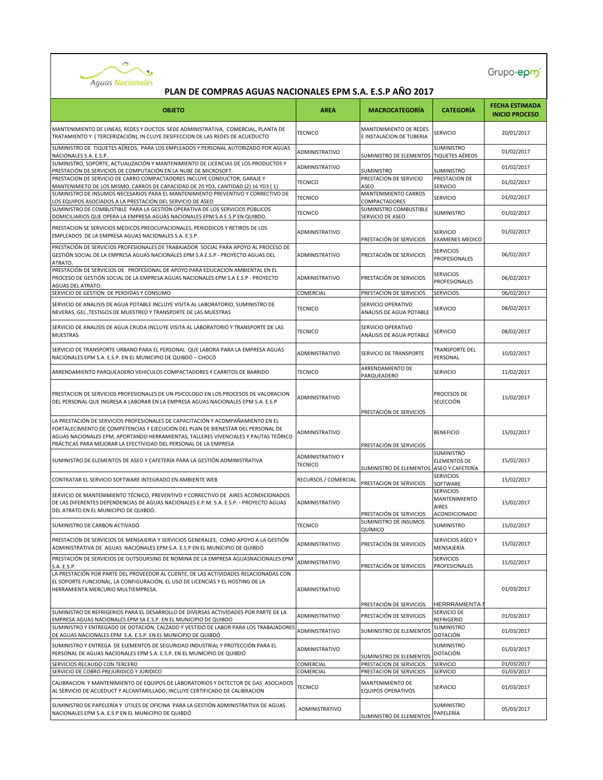

| <b>OBJETO</b>                                                                                                                                                                                                                                                                                                                   | <b>AREA</b>                               | <b>MACROCATEGORÍA</b>                                                    | <b>CATEGORÍA</b>                                            | <b>FECHA ESTIMADA</b><br><b>INICIO PROCESO</b> |
|---------------------------------------------------------------------------------------------------------------------------------------------------------------------------------------------------------------------------------------------------------------------------------------------------------------------------------|-------------------------------------------|--------------------------------------------------------------------------|-------------------------------------------------------------|------------------------------------------------|
| MANTENIMIENTO DE LINEAS, REDES Y DUCTOS SEDE ADMINISTRATIVA, COMERCIAL, PLANTA DE<br>TRATAMIENTO Y (TERCERIZACIÓN), IN CLUYE DESIFECCION DE LAS REDES DE ACUEDUCTO                                                                                                                                                              | <b>TECNICO</b>                            | MANTENIMIENTO DE REDES<br>E INSTALACION DE TUBERIA                       | <b>SERVICIO</b>                                             | 20/01/2017                                     |
| SUMINISTRO DE TIQUETES AÉREOS, PARA LOS EMPLEADOS Y PERSONAL AUTORIZADO POR AGUAS<br>NACIONALES S.A. E.S.P.                                                                                                                                                                                                                     | ADMINISTRATIVO                            | SUMINISTRO DE ELEMENTOS TIQUETES AÉREOS                                  | <b>SUMINISTRO</b>                                           | 01/02/2017                                     |
| SUMINISTRO, SOPORTE, ACTUALIZACIÓN Y MANTENIMIENTO DE LICENCIAS DE LOS PRODUCTOS Y<br>PRESTACIÓN DE SERVICIOS DE COMPUTACIÓN EN LA NUBE DE MICROSOFT.                                                                                                                                                                           | ADMINISTRATIVO                            | SUMINISTRO                                                               | SUMINISTRO                                                  | 01/02/2017                                     |
| PRESTACION DE SERVICIO DE CARRO COMPACTADORES INCLUYE CONDUCTOR, GARAJE Y<br>MANTENIMIETO DE LOS MISMO, CARROS DE CAPACIDAD DE 20 YD3, CANTIDAD (2) 16 YD3 (1)                                                                                                                                                                  | <b>TECNICO</b>                            | PRESTACION DE SERVICIO<br>ASEO                                           | PRESTACION DE<br>SERVICIO                                   | 01/02/2017                                     |
| SUMINISTRO DE INSUMOS NECESARIOS PARA EL MANTENIMIENTO PREVENTIVO Y CORRECTIVO DE<br>LOS EQUIPOS ASOCIADOS A LA PRESTACIÓN DEL SERVICIO DE ASEO                                                                                                                                                                                 | <b>TECNICO</b>                            | MANTENIMIENTO CARROS<br>COMPACTADORES                                    | <b>SERVICIO</b>                                             | 01/02/2017                                     |
| SUMINISTRO DE COMBUSTIBLE PARA LA GESTIÓN OPERATIVA DE LOS SERVICIOS PÚBLICOS<br>DOMICILIARIOS QUE OPERA LA EMPRESA AGUAS NACIONALES EPM S.A E.S.P EN QUIBDO.                                                                                                                                                                   | <b>TECNICO</b>                            | SUMINISTRO COMBUSTIBLE<br>SERVICIO DE ASEO                               | <b>SUMINISTRO</b>                                           | 01/02/2017                                     |
| PRESTACION SE SERVICIOS MEDICOS PREOCUPACIONALES, PERIODICOS Y RETIROS DE LOS<br>EMPLEADOS DE LA EMPRESA AGUAS NACIONALES S.A. E.S.P.                                                                                                                                                                                           | ADMINISTRATIVO                            | PRESTACIÓN DE SERVICIOS                                                  | <b>SERVICIO</b><br><b>EXAMENES MEDICO</b>                   | 01/02/2017                                     |
| PRESTACIÓN DE SERVICIOS PROFESIONALES DE TRABAJADOR SOCIAL PARA APOYO AL PROCESO DE<br>GESTIÓN SOCIAL DE LA EMPRESA AGUAS NACIONALES EPM S.A E.S.P - PROYECTO AGUAS DEL<br>ATRATO.                                                                                                                                              | ADMINISTRATIVO                            | PRESTACIÓN DE SERVICIOS                                                  | <b>SERVICIOS</b><br>PROFESIONALES                           | 06/02/2017                                     |
| PRESTACIÓN DE SERVICIOS DE PROFESIONAL DE APOYO PARA EDUCACION AMBIENTAL EN EL<br>PROCESO DE GESTIÓN SOCIAL DE LA EMPRESA AGUAS NACIONALES EPM S.A E.S.P - PROYECTO<br>AGUAS DEL ATRATO.                                                                                                                                        | ADMINISTRATIVO                            | PRESTACIÓN DE SERVICIOS                                                  | <b>SERVICIOS</b><br>PROFESIONALES                           | 06/02/2017                                     |
| SERVICIO DE GESTION DE PERDIDAS Y CONSUMO                                                                                                                                                                                                                                                                                       | COMERCIAL                                 | PRESTACION DE SERVICIOS                                                  | <b>SERVICIOS</b>                                            | 06/02/2017                                     |
| SERVICIO DE ANALISIS DE AGUA POTABLE INCLUYE VISITA AL LABORATORIO, SUMINISTRO DE<br>NEVERAS, GEL, TESTIGOS DE MUESTREO Y TRANSPORTE DE LAS MUESTRAS                                                                                                                                                                            | <b>TECNICO</b>                            | SERVICIO OPERATIVO<br>ANÁLISIS DE AGUA POTABLE                           | <b>SERVICIO</b>                                             | 08/02/2017                                     |
| SERVICIO DE ANALISIS DE AGUA CRUDA INCLUYE VISITA AL LABORATORIO Y TRANSPORTE DE LAS<br><b>MUESTRAS</b>                                                                                                                                                                                                                         | <b>TECNICO</b>                            | SERVICIO OPERATIVO<br>ANÁLISIS DE AGUA POTABLE                           | <b>SERVICIO</b>                                             | 08/02/2017                                     |
| SERVICIO DE TRANSPORTE URBANO PARA EL PERSONAL QUE LABORA PARA LA EMPRESA AGUAS<br>NACIONALES EPM S.A. E.S.P. EN EL MUNICIPIO DE QUIBDÓ - CHOCÓ                                                                                                                                                                                 | ADMINISTRATIVO                            | SERVICIO DE TRANSPORTE                                                   | <b>TRANSPORTE DEL</b><br>PERSONAL                           | 10/02/2017                                     |
| ARRENDAMIENTO PARQUEADERO VEHICULOS COMPACTADORES Y CARRITOS DE BARRIDO                                                                                                                                                                                                                                                         | <b>TECNICO</b>                            | ARRENDAMIENTO DE<br>PARQUEADERO                                          | <b>SERVICIO</b>                                             | 11/02/2017                                     |
| PRESTACION DE SERVICIOS PROFESIONALES DE UN PSICOLOGO EN LOS PROCESOS DE VALORACION<br>DEL PERSONAL QUE INGRESA A LABORAR EN LA EMPRESA AGUAS NACIONALES EPM S.A. E.S.P                                                                                                                                                         | ADMINISTRATIVO                            | PRESTACIÓN DE SERVICIOS                                                  | PROCESOS DE<br>SELECCIÓN                                    | 15/02/2017                                     |
| LA PRESTACIÓN DE SERVICIOS PROFESIONALES DE CAPACITACIÓN Y ACOMPAÑAMIENTO EN EL<br>FORTALECIMIENTO DE COMPETENCIAS Y EJECUCIÓN DEL PLAN DE BIENESTAR DEL PERSONAL DE<br>AGUAS NACIONALES EPM, APORTANDO HERRAMIENTAS, TALLERES VIVENCIALES Y PAUTAS TEÓRICO<br>PRÁCTICAS PARA MEJORAR LA EFECTIVIDAD DEL PERSONAL DE LA EMPRESA | ADMINISTRATIVO                            | PRESTACIÓN DE SERVICIOS                                                  | <b>BENEFICIO</b>                                            | 15/02/2017                                     |
| SUMINISTRO DE ELEMENTOS DE ASEO Y CAFETERÍA PARA LA GESTIÓN ADMINISTRATIVA                                                                                                                                                                                                                                                      | <b>ADMINISTRATIVO Y</b><br><b>TECNICO</b> | SUMINISTRO DE ELEMENTOS ASEO Y CAFETERÍA                                 | <b>SUMINISTRO</b><br><b>ELEMENTOS DE</b>                    | 15/02/2017                                     |
| CONTRATAR EL SERVICIO SOFTWARE INTEGRADO EN AMBIENTE WEB                                                                                                                                                                                                                                                                        | RECURSOS / COMERCIAL                      | PRESTACION DE SERVICIOS                                                  | <b>SERVICIOS</b><br>SOFTWARE                                | 15/02/2017                                     |
| SERVICIO DE MANTENIMIENTO TÉCNICO, PREVENTIVO Y CORRECTIVO DE AIRES ACONDICIONADOS<br>DE LAS DIFERENTES DEPENDENCIAS DE AGUAS NACIONALES E.P.M. S.A. E.S.P. - PROYECTO AGUAS<br>DEL ATRATO EN EL MUNICIPIO DE QUIBDÓ.                                                                                                           | ADMINISTRATIVO                            | PRESTACIÓN DE SERVICIOS                                                  | <b>SERVICIOS</b><br>MANTENIMIENTO<br>AIRES<br>ACONDICIONADO | 15/02/2017                                     |
| SUMINISTRO DE CARBON ACTIVADO                                                                                                                                                                                                                                                                                                   | <b>TECNICO</b>                            | SUMINISTRO DE INSUMOS<br>QUÍMICO                                         | <b>SUMINISTRO</b>                                           | 15/02/2017                                     |
| PRESTACIÓN DE SERVICIOS DE MENSAJERIA Y SERVICIOS GENERALES, COMO APOYO A LA GESTIÓN<br>ADMINISTRATIVA DE AGUAS NACIONALES EPM S.A. E.S.P EN EL MUNICIPIO DE QUIBDÓ                                                                                                                                                             | ADMINISTRATIVO                            | PRESTACIÓN DE SERVICIOS                                                  | SERVICIOS ASEO Y<br>MENSAJERÍA                              | 15/02/2017                                     |
| PRESTACIÓN DE SERVICIOS DE OUTSOURSING DE NOMINA DE LA EMPRESA AGUASNACIONALES EPM<br>S.A. E.S.P.                                                                                                                                                                                                                               | ADMINISTRATIVO                            | PRESTACIÓN DE SERVICIOS                                                  | <b>SERVICIOS</b><br>PROFESIONALES                           | 15/02/2017                                     |
| LA PRESTACIÓN POR PARTE DEL PROVEEDOR AL CLIENTE, DE LAS ACTIVIDADES RELACIONADAS CON<br>EL SOPORTE FUNCIONAL, LA CONFIGURACIÓN, EL USO DE LICENCIAS Y EL HOSTING DE LA<br>HERRAMIENTA MERCURIO MULTIEMPRESA.                                                                                                                   | ADMINISTRATIVO                            |                                                                          |                                                             | 01/03/2017                                     |
| SUMINISTRO DE REFRIGERIOS PARA EL DESARROLLO DE DIVERSAS ACTIVIDADES POR PARTE DE LA                                                                                                                                                                                                                                            | ADMINISTRATIVO                            | PRESTACIÓN DE SERVICIOS<br>PRESTACIÓN DE SERVICIOS                       | HERRRAMIENTA<br>SERVICIO DE                                 | 01/03/2017                                     |
| EMPRESA AGUAS NACIONALES EPM SA E.S.P. EN EL MUNICIPIO DE QUIBDO<br>SUMINISTRO Y ENTREGADO DE DOTACIÓN, CALZADO Y VESTIDO DE LABOR PARA LOS TRABAJADORES<br>DE AGUAS NACIONALES EPM S.A. E.S.P. EN EL MUNICIPIO DE QUIBDÓ                                                                                                       | ADMINISTRATIVO                            | SUMINISTRO DE ELEMENTOS                                                  | REFRIGERIO<br>SUMINISTRO<br>DOTACIÓN                        | 01/03/2017                                     |
| SUMINISTRO Y ENTREGA DE ELEMENTOS DE SEGURIDAD INDUSTRIAL Y PROTECCIÓN PARA EL<br>PERSONAL DE AGUAS NACIONALES EPM S.A. E.S.P. EN EL MUNICIPIO DE QUIBDÓ                                                                                                                                                                        | ADMINISTRATIVO                            | SUMINISTRO DE ELEMENTOS                                                  | <b>SUMINISTRO</b><br>DOTACIÓN                               | 01/03/2017                                     |
| SERVICIOS RECAUDO CON TERCERO                                                                                                                                                                                                                                                                                                   | COMERCIAL<br>COMERCIAL                    | PRESTACION DE SERVICIOS                                                  | SERVICIO                                                    | 01/03/2017<br>01/03/2017                       |
| SERVICIO DE COBRO PREJURIDICO Y JURIDICO<br>CALIBRACION Y MANTENIMIENTO DE EQUIPOS DE LABORATORIOS Y DETECTOR DE GAS ASOCIADOS<br>AL SERVICIO DE ACUEDUCT Y ALCANTARILLADO, INCLUYE CERTIFICADO DE CALIBRACION                                                                                                                  | <b>TECNICO</b>                            | PRESTACION DE SERVICIOS<br>MANTENIMIENTO DE<br><b>EQUIPOS OPERATIVOS</b> | SERVICIO<br>SERVICIO                                        | 01/03/2017                                     |
| SUMINISTRO DE PAPELERÍA Y ÚTILES DE OFICINA PARA LA GESTIÓN ADMINISTRATIVA DE AGUAS<br>NACIONALES EPM S.A. E.S.P EN EL MUNICIPIO DE QUIBDÓ                                                                                                                                                                                      | ADMINISTRATIVO                            | SUMINISTRO DE ELEMENTOS                                                  | <b>SUMINISTRO</b><br>PAPELERÍA                              | 05/03/2017                                     |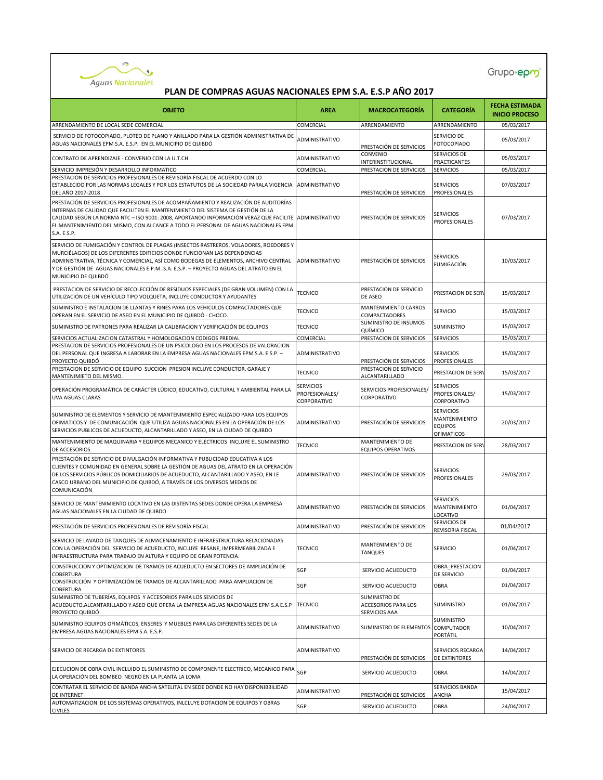

| <b>OBJETO</b>                                                                                                                                                                                                                                                                                                                                                                       | <b>AREA</b>                                       | <b>MACROCATEGORÍA</b>                                 | <b>CATEGORÍA</b>                                                  | <b>FECHA ESTIMADA</b><br><b>INICIO PROCESO</b> |
|-------------------------------------------------------------------------------------------------------------------------------------------------------------------------------------------------------------------------------------------------------------------------------------------------------------------------------------------------------------------------------------|---------------------------------------------------|-------------------------------------------------------|-------------------------------------------------------------------|------------------------------------------------|
| ARRENDAMIENTO DE LOCAL SEDE COMERCIAL                                                                                                                                                                                                                                                                                                                                               | COMERCIAL                                         | ARRENDAMIENTO                                         | ARRENDAMIENTO                                                     | 05/03/2017                                     |
| SERVICIO DE FOTOCOPIADO, PLOTEO DE PLANO Y ANILLADO PARA LA GESTIÓN ADMINISTRATIVA DE<br>AGUAS NACIONALES EPM S.A. E.S.P. EN EL MUNICIPIO DE QUIBDÓ                                                                                                                                                                                                                                 | ADMINISTRATIVO                                    | PRESTACIÓN DE SERVICIOS                               | SERVICIO DE<br><b>FOTOCOPIADO</b>                                 | 05/03/2017                                     |
| CONTRATO DE APRENDIZAJE - CONVENIO CON LA U.T.CH                                                                                                                                                                                                                                                                                                                                    | <b>ADMINISTRATIVO</b>                             | CONVENIO<br><b>INTERINSTITUCIONAL</b>                 | SERVICIOS DE<br><b>PRACTICANTES</b>                               | 05/03/2017                                     |
| SERVICIO IMPRESIÓN Y DESARROLLO INFORMATICO                                                                                                                                                                                                                                                                                                                                         | COMERCIAL                                         | PRESTACION DE SERVICIOS                               | <b>SERVICIOS</b>                                                  | 05/03/2017                                     |
| PRESTACIÓN DE SERVICIOS PROFESIONALES DE REVISORÍA FISCAL DE ACUERDO CON LO<br>ESTABLECIDO POR LAS NORMAS LEGALES Y POR LOS ESTATUTOS DE LA SOCIEDAD PARALA VIGENCIA ADMINISTRATIVO<br>DEL AÑO 2017-2018                                                                                                                                                                            |                                                   | PRESTACIÓN DE SERVICIOS                               | <b>SERVICIOS</b><br><b>PROFESIONALES</b>                          | 07/03/2017                                     |
| PRESTACIÓN DE SERVICIOS PROFESIONALES DE ACOMPAÑAMIENTO Y REALIZACIÓN DE AUDITORÍAS<br>INTERNAS DE CALIDAD QUE FACILITEN EL MANTENIMIENTO DEL SISTEMA DE GESTIÓN DE LA<br>CALIDAD SEGÚN LA NORMA NTC - ISO 9001: 2008, APORTANDO INFORMACIÓN VERAZ QUE FACILITE ADMINISTRATIVO<br>EL MANTENIMIENTO DEL MISMO, CON ALCANCE A TODO EL PERSONAL DE AGUAS NACIONALES EPM<br>S.A. E.S.P. |                                                   | PRESTACIÓN DE SERVICIOS                               | <b>SERVICIOS</b><br><b>PROFESIONALES</b>                          | 07/03/2017                                     |
| SERVICIO DE FUMIGACIÓN Y CONTROL DE PLAGAS (INSECTOS RASTREROS, VOLADORES, ROEDORES Y<br>MURCIÉLAGOS) DE LOS DIFERENTES EDIFICIOS DONDE FUNCIONAN LAS DEPENDENCIAS<br>ADMINISTRATIVA, TÉCNICA Y COMERCIAL, ASÍ COMO BODEGAS DE ELEMENTOS, ARCHIVO CENTRAL<br>Y DE GESTIÓN DE  AGUAS NACIONALES E.P.M. S.A. E.S.P. — PROYECTO AGUAS DEL ATRATO EN EL<br>MUNICIPIO DE QUIBDÓ          | <b>ADMINISTRATIVO</b>                             | PRESTACIÓN DE SERVICIOS                               | <b>SERVICIOS</b><br>FUMIGACIÓN                                    | 10/03/2017                                     |
| PRESTACION DE SERVICIO DE RECOLECCIÓN DE RESIDUOS ESPECIALES (DE GRAN VOLUMEN) CON LA<br>UTILIZACIÓN DE UN VEHÍCULO TIPO VOLQUETA, INCLUYE CONDUCTOR Y AYUDANTES                                                                                                                                                                                                                    | <b>TECNICO</b>                                    | PRESTACION DE SERVICIO<br>DE ASEO                     | PRESTACION DE SERY                                                | 15/03/2017                                     |
| SUMINISTRO E INSTALACION DE LLANTAS Y RINES PARA LOS VEHICULOS COMPACTADORES QUE<br>OPERAN EN EL SERVICIO DE ASEO EN EL MUNICIPIO DE QUIBDÓ - CHOCO.                                                                                                                                                                                                                                | <b>TECNICO</b>                                    | MANTENIMIENTO CARROS<br>COMPACTADORES                 | <b>SERVICIO</b>                                                   | 15/03/2017                                     |
| SUMINISTRO DE PATRONES PARA REALIZAR LA CALIBRACION Y VERIFICACIÓN DE EQUIPOS                                                                                                                                                                                                                                                                                                       | <b>TECNICO</b>                                    | SUMINISTRO DE INSUMOS<br>QUÍMICO                      | <b>SUMINISTRO</b>                                                 | 15/03/2017                                     |
| SERVICIOS ACTUALIZACION CATASTRAL Y HOMOLOGACION CODIGOS PREDIAL                                                                                                                                                                                                                                                                                                                    | COMERCIAL                                         | PRESTACION DE SERVICIOS                               | <b>SERVICIOS</b>                                                  | 15/03/2017                                     |
| PRESTACION DE SERVICIOS PROFESIONALES DE UN PSICOLOGO EN LOS PROCESOS DE VALORACION<br>DEL PERSONAL QUE INGRESA A LABORAR EN LA EMPRESA AGUAS NACIONALES EPM S.A. E.S.P. -<br>PROYECTO QUIBDÓ                                                                                                                                                                                       | <b>ADMINISTRATIVO</b>                             | PRESTACIÓN DE SERVICIOS                               | <b>SERVICIOS</b><br><b>PROFESIONALES</b>                          | 15/03/2017                                     |
| PRESTACION DE SERVICIO DE EQUIPO SUCCION PRESION INCLUYE CONDUCTOR, GARAJE Y<br>MANTENIMIETO DEL MISMO.                                                                                                                                                                                                                                                                             | <b>TECNICO</b>                                    | PRESTACION DE SERVICIO<br><b>ALCANTARILLADO</b>       | PRESTACION DE SERY                                                | 15/03/2017                                     |
| OPERACIÓN PROGRAMÁTICA DE CARÁCTER LÚDICO, EDUCATIVO, CULTURAL Y AMBIENTAL PARA LA<br>UVA AGUAS CLARAS                                                                                                                                                                                                                                                                              | <b>SERVICIOS</b><br>PROFESIONALES/<br>CORPORATIVO | SERVICIOS PROFESIONALES/<br>CORPORATIVO               | <b>SERVICIOS</b><br>PROFESIONALES/<br>CORPORATIVO                 | 15/03/2017                                     |
| SUMINISTRO DE ELEMENTOS Y SERVICIO DE MANTENIMIENTO ESPECIALIZADO PARA LOS EQUIPOS<br>OFIMATICOS Y DE COMUNICACIÓN QUE UTILIZA AGUAS NACIONALES EN LA OPERACIÓN DE LOS<br>SERVICIOS PUBLICOS DE ACUEDUCTO, ALCANTARILLADO Y ASEO, EN LA CIUDAD DE QUIBDO                                                                                                                            | <b>ADMINISTRATIVO</b>                             | PRESTACIÓN DE SERVICIOS                               | <b>SERVICIOS</b><br>MANTENIMIENTO<br><b>EQUIPOS</b><br>OFIMATICOS | 20/03/2017                                     |
| MANTENIMIENTO DE MAQUINARIA Y EQUIPOS MECANICO Y ELECTRICOS INCLUYE EL SUMINISTRO<br>DE ACCESORIOS                                                                                                                                                                                                                                                                                  | <b>TECNICO</b>                                    | MANTENIMIENTO DE<br><b>EQUIPOS OPERATIVOS</b>         | PRESTACION DE SER                                                 | 28/03/2017                                     |
| PRESTACIÓN DE SERVICIO DE DIVULGACIÓN INFORMATIVA Y PUBLICIDAD EDUCATIVA A LOS<br>CLIENTES Y COMUNIDAD EN GENERAL SOBRE LA GESTIÓN DE AGUAS DEL ATRATO EN LA OPERACIÓN<br>DE LOS SERVICIOS PÚBLICOS DOMICILIARIOS DE ACUEDUCTO, ALCANTARILLADO Y ASEO, EN LE<br>CASCO URBANO DEL MUNICIPIO DE QUIBDÓ, A TRAVÉS DE LOS DIVERSOS MEDIOS DE<br>COMUNICACIÓN                            | <b>ADMINISTRATIVO</b>                             | PRESTACIÓN DE SERVICIOS                               | <b>SERVICIOS</b><br>PROFESIONALES                                 | 29/03/2017                                     |
| SERVICIO DE MANTENIMIENTO LOCATIVO EN LAS DISTENTAS SEDES DONDE OPERA LA EMPRESA<br>AGUAS NACIONALES EN LA CIUDAD DE QUIBDO                                                                                                                                                                                                                                                         | ADMINISTRATIVO                                    | PRESTACIÓN DE SERVICIOS                               | <b>SERVICIOS</b><br><b>MANTENIMIENTO</b><br>LOCATIVO              | 01/04/2017                                     |
| PRESTACIÓN DE SERVICIOS PROFESIONALES DE REVISORÍA FISCAL                                                                                                                                                                                                                                                                                                                           | <b>ADMINISTRATIVO</b>                             | PRESTACIÓN DE SERVICIOS                               | SERVICIOS DE<br>REVISORIA FISCAL                                  | 01/04/2017                                     |
| SERVICIO DE LAVADO DE TANQUES DE ALMACENAMIENTO E INFRAESTRUCTURA RELACIONADAS<br>CON LA OPERACIÓN DEL SERVICIO DE ACUEDUCTO, INCLUYE RESANE, IMPERMEABILIZADA E<br>INFRAESTRUCTURA PARA TRABAJO EN ALTURA Y EQUIPO DE GRAN POTENCIA.                                                                                                                                               | <b>TECNICO</b>                                    | MANTENIMIENTO DE<br><b>TANQUES</b>                    | SERVICIO                                                          | 01/04/2017                                     |
| CONSTRUCCION Y OPTIMIZACION DE TRAMOS DE ACUEDUCTO EN SECTORES DE AMPLIACIÓN DE<br>COBERTURA                                                                                                                                                                                                                                                                                        | SGP                                               | SERVICIO ACUEDUCTO                                    | OBRA PRESTACION<br>DE SERVICIO                                    | 01/04/2017                                     |
| CONSTRUCCIÓN Y OPTIMIZACIÓN DE TRAMOS DE ALCANTARILLADO PARA AMPLIACION DE<br>COBERTURA                                                                                                                                                                                                                                                                                             | SGP                                               | SERVICIO ACUEDUCTO                                    | <b>OBRA</b>                                                       | 01/04/2017                                     |
| SUMINISTRO DE TUBERÍAS, EQUIPOS Y ACCESORIOS PARA LOS SEVICIOS DE<br>ACUEDUCTO, ALCANTARILLADO Y ASEO QUE OPERA LA EMPRESA AGUAS NACIONALES EPM S.A E.S.P<br>PROYECTO QUIBDÓ                                                                                                                                                                                                        | <b>TECNICO</b>                                    | SUMINISTRO DE<br>ACCESORIOS PARA LOS<br>SERVICIOS AAA | <b>SUMINISTRO</b>                                                 | 01/04/2017                                     |
| SUMINISTRO EQUIPOS OFIMÁTICOS, ENSERES Y MUEBLES PARA LAS DIFERENTES SEDES DE LA<br>EMPRESA AGUAS NACIONALES EPM S.A. E.S.P.                                                                                                                                                                                                                                                        | ADMINISTRATIVO                                    | SUMINISTRO DE ELEMENTOS                               | SUMINISTRO<br><b>COMPUTADOR</b><br>PORTÁTIL                       | 10/04/2017                                     |
| SERVICIO DE RECARGA DE EXTINTORES                                                                                                                                                                                                                                                                                                                                                   | ADMINISTRATIVO                                    | PRESTACIÓN DE SERVICIOS                               | <b>SERVICIOS RECARGA</b><br>DE EXTINTORES                         | 14/04/2017                                     |
| EJECUCION DE OBRA CIVIL INCLUIDO EL SUMINISTRO DE COMPONENTE ELECTRICO, MECANICO PARA<br>LA OPERACIÓN DEL BOMBEO NEGRO EN LA PLANTA LA LOMA                                                                                                                                                                                                                                         | SGP                                               | SERVICIO ACUEDUCTO                                    | OBRA                                                              | 14/04/2017                                     |
| CONTRATAR EL SERVICIO DE BANDA ANCHA SATELITAL EN SEDE DONDE NO HAY DISPONIBBILIDAD<br>DE INTERNET                                                                                                                                                                                                                                                                                  | ADMINISTRATIVO                                    | PRESTACIÓN DE SERVICIOS                               | SERVICIOS BANDA<br>ANCHA                                          | 15/04/2017                                     |
| AUTOMATIZACION DE LOS SISTEMAS OPERATIVOS, INLCLUYE DOTACION DE EQUIPOS Y OBRAS<br><b>CIVILES</b>                                                                                                                                                                                                                                                                                   | SGP                                               | SERVICIO ACUEDUCTO                                    | OBRA                                                              | 24/04/2017                                     |